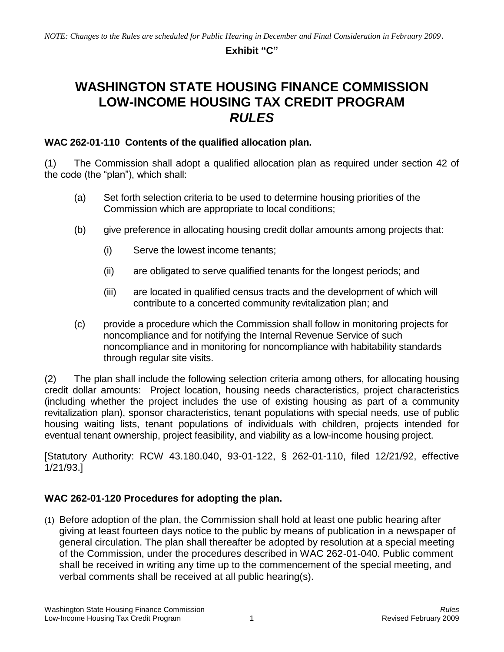#### **Exhibit "C"**

# **WASHINGTON STATE HOUSING FINANCE COMMISSION LOW-INCOME HOUSING TAX CREDIT PROGRAM** *RULES*

#### **WAC 262-01-110 Contents of the qualified allocation plan.**

(1) The Commission shall adopt a qualified allocation plan as required under section 42 of the code (the "plan"), which shall:

- (a) Set forth selection criteria to be used to determine housing priorities of the Commission which are appropriate to local conditions;
- (b) give preference in allocating housing credit dollar amounts among projects that:
	- (i) Serve the lowest income tenants;
	- (ii) are obligated to serve qualified tenants for the longest periods; and
	- (iii) are located in qualified census tracts and the development of which will contribute to a concerted community revitalization plan; and
- (c) provide a procedure which the Commission shall follow in monitoring projects for noncompliance and for notifying the Internal Revenue Service of such noncompliance and in monitoring for noncompliance with habitability standards through regular site visits.

(2) The plan shall include the following selection criteria among others, for allocating housing credit dollar amounts: Project location, housing needs characteristics, project characteristics (including whether the project includes the use of existing housing as part of a community revitalization plan), sponsor characteristics, tenant populations with special needs, use of public housing waiting lists, tenant populations of individuals with children, projects intended for eventual tenant ownership, project feasibility, and viability as a low-income housing project.

[Statutory Authority: RCW 43.180.040, 93-01-122, § 262-01-110, filed 12/21/92, effective 1/21/93.]

### **WAC 262-01-120 Procedures for adopting the plan.**

(1) Before adoption of the plan, the Commission shall hold at least one public hearing after giving at least fourteen days notice to the public by means of publication in a newspaper of general circulation. The plan shall thereafter be adopted by resolution at a special meeting of the Commission, under the procedures described in WAC 262-01-040. Public comment shall be received in writing any time up to the commencement of the special meeting, and verbal comments shall be received at all public hearing(s).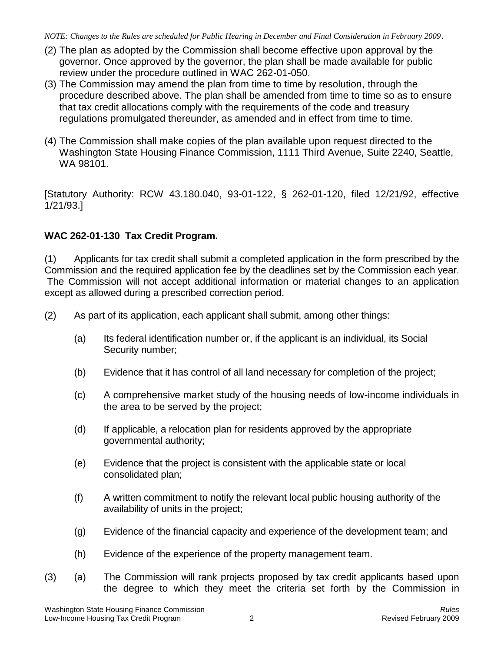- (2) The plan as adopted by the Commission shall become effective upon approval by the governor. Once approved by the governor, the plan shall be made available for public review under the procedure outlined in WAC 262-01-050.
- (3) The Commission may amend the plan from time to time by resolution, through the procedure described above. The plan shall be amended from time to time so as to ensure that tax credit allocations comply with the requirements of the code and treasury regulations promulgated thereunder, as amended and in effect from time to time.
- (4) The Commission shall make copies of the plan available upon request directed to the Washington State Housing Finance Commission, 1111 Third Avenue, Suite 2240, Seattle, WA 98101.

[Statutory Authority: RCW 43.180.040, 93-01-122, § 262-01-120, filed 12/21/92, effective 1/21/93.]

## **WAC 262-01-130 Tax Credit Program.**

(1) Applicants for tax credit shall submit a completed application in the form prescribed by the Commission and the required application fee by the deadlines set by the Commission each year. The Commission will not accept additional information or material changes to an application except as allowed during a prescribed correction period.

(2) As part of its application, each applicant shall submit, among other things:

- (a) Its federal identification number or, if the applicant is an individual, its Social Security number;
- (b) Evidence that it has control of all land necessary for completion of the project;
- (c) A comprehensive market study of the housing needs of low-income individuals in the area to be served by the project;
- (d) If applicable, a relocation plan for residents approved by the appropriate governmental authority;
- (e) Evidence that the project is consistent with the applicable state or local consolidated plan;
- (f) A written commitment to notify the relevant local public housing authority of the availability of units in the project;
- (g) Evidence of the financial capacity and experience of the development team; and
- (h) Evidence of the experience of the property management team.
- (3) (a) The Commission will rank projects proposed by tax credit applicants based upon the degree to which they meet the criteria set forth by the Commission in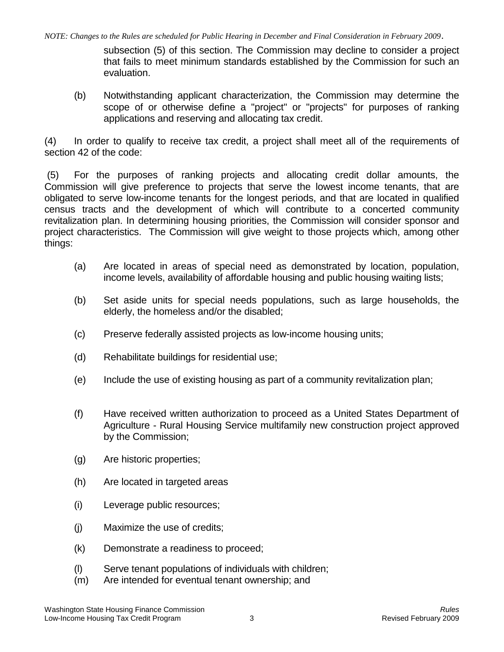*NOTE: Changes to the Rules are scheduled for Public Hearing in December and Final Consideration in February 2009*.

subsection (5) of this section. The Commission may decline to consider a project that fails to meet minimum standards established by the Commission for such an evaluation.

(b) Notwithstanding applicant characterization, the Commission may determine the scope of or otherwise define a "project" or "projects" for purposes of ranking applications and reserving and allocating tax credit.

(4) In order to qualify to receive tax credit, a project shall meet all of the requirements of section 42 of the code:

(5) For the purposes of ranking projects and allocating credit dollar amounts, the Commission will give preference to projects that serve the lowest income tenants, that are obligated to serve low-income tenants for the longest periods, and that are located in qualified census tracts and the development of which will contribute to a concerted community revitalization plan. In determining housing priorities, the Commission will consider sponsor and project characteristics. The Commission will give weight to those projects which, among other things:

- (a) Are located in areas of special need as demonstrated by location, population, income levels, availability of affordable housing and public housing waiting lists;
- (b) Set aside units for special needs populations, such as large households, the elderly, the homeless and/or the disabled;
- (c) Preserve federally assisted projects as low-income housing units;
- (d) Rehabilitate buildings for residential use;
- (e) Include the use of existing housing as part of a community revitalization plan;
- (f) Have received written authorization to proceed as a United States Department of Agriculture - Rural Housing Service multifamily new construction project approved by the Commission;
- (g) Are historic properties;
- (h) Are located in targeted areas
- (i) Leverage public resources;
- (j) Maximize the use of credits;
- (k) Demonstrate a readiness to proceed;
- (l) Serve tenant populations of individuals with children;
- (m) Are intended for eventual tenant ownership; and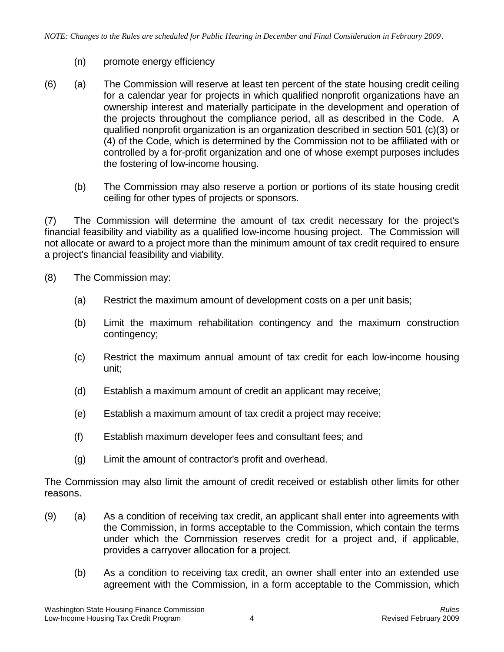- (n) promote energy efficiency
- (6) (a) The Commission will reserve at least ten percent of the state housing credit ceiling for a calendar year for projects in which qualified nonprofit organizations have an ownership interest and materially participate in the development and operation of the projects throughout the compliance period, all as described in the Code. A qualified nonprofit organization is an organization described in section 501 (c)(3) or (4) of the Code, which is determined by the Commission not to be affiliated with or controlled by a for-profit organization and one of whose exempt purposes includes the fostering of low-income housing.
	- (b) The Commission may also reserve a portion or portions of its state housing credit ceiling for other types of projects or sponsors.

(7) The Commission will determine the amount of tax credit necessary for the project's financial feasibility and viability as a qualified low-income housing project. The Commission will not allocate or award to a project more than the minimum amount of tax credit required to ensure a project's financial feasibility and viability.

- (8) The Commission may:
	- (a) Restrict the maximum amount of development costs on a per unit basis;
	- (b) Limit the maximum rehabilitation contingency and the maximum construction contingency;
	- (c) Restrict the maximum annual amount of tax credit for each low-income housing unit;
	- (d) Establish a maximum amount of credit an applicant may receive;
	- (e) Establish a maximum amount of tax credit a project may receive;
	- (f) Establish maximum developer fees and consultant fees; and
	- (g) Limit the amount of contractor's profit and overhead.

The Commission may also limit the amount of credit received or establish other limits for other reasons.

- (9) (a) As a condition of receiving tax credit, an applicant shall enter into agreements with the Commission, in forms acceptable to the Commission, which contain the terms under which the Commission reserves credit for a project and, if applicable, provides a carryover allocation for a project.
	- (b) As a condition to receiving tax credit, an owner shall enter into an extended use agreement with the Commission, in a form acceptable to the Commission, which